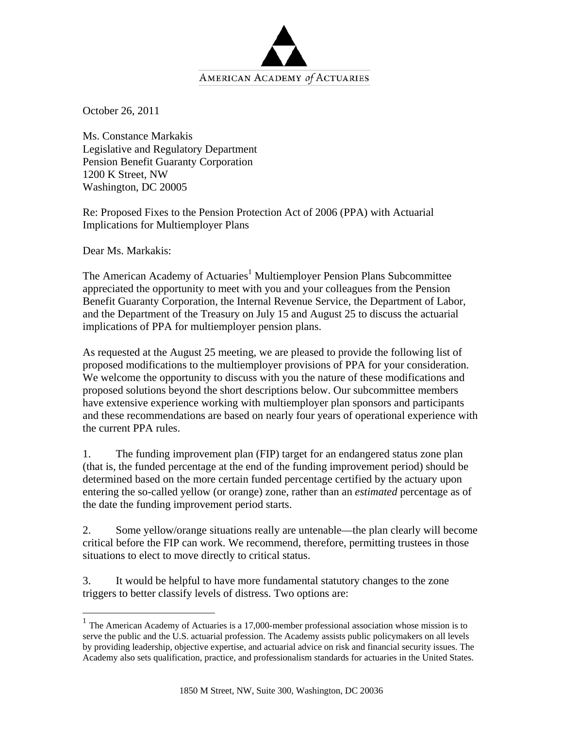

October 26, 2011

Ms. Constance Markakis Legislative and Regulatory Department Pension Benefit Guaranty Corporation 1200 K Street, NW Washington, DC 20005

Re: Proposed Fixes to the Pension Protection Act of 2006 (PPA) with Actuarial Implications for Multiemployer Plans

Dear Ms. Markakis:

<u>.</u>

The American Academy of Actuaries<sup>1</sup> Multiemployer Pension Plans Subcommittee appreciated the opportunity to meet with you and your colleagues from the Pension Benefit Guaranty Corporation, the Internal Revenue Service, the Department of Labor, and the Department of the Treasury on July 15 and August 25 to discuss the actuarial implications of PPA for multiemployer pension plans.

As requested at the August 25 meeting, we are pleased to provide the following list of proposed modifications to the multiemployer provisions of PPA for your consideration. We welcome the opportunity to discuss with you the nature of these modifications and proposed solutions beyond the short descriptions below. Our subcommittee members have extensive experience working with multiemployer plan sponsors and participants and these recommendations are based on nearly four years of operational experience with the current PPA rules.

1. The funding improvement plan (FIP) target for an endangered status zone plan (that is, the funded percentage at the end of the funding improvement period) should be determined based on the more certain funded percentage certified by the actuary upon entering the so-called yellow (or orange) zone, rather than an *estimated* percentage as of the date the funding improvement period starts.

2. Some yellow/orange situations really are untenable—the plan clearly will become critical before the FIP can work. We recommend, therefore, permitting trustees in those situations to elect to move directly to critical status.

3. It would be helpful to have more fundamental statutory changes to the zone triggers to better classify levels of distress. Two options are:

<sup>&</sup>lt;sup>1</sup> The American Academy of Actuaries is a 17,000-member professional association whose mission is to serve the public and the U.S. actuarial profession. The Academy assists public policymakers on all levels by providing leadership, objective expertise, and actuarial advice on risk and financial security issues. The Academy also sets qualification, practice, and professionalism standards for actuaries in the United States.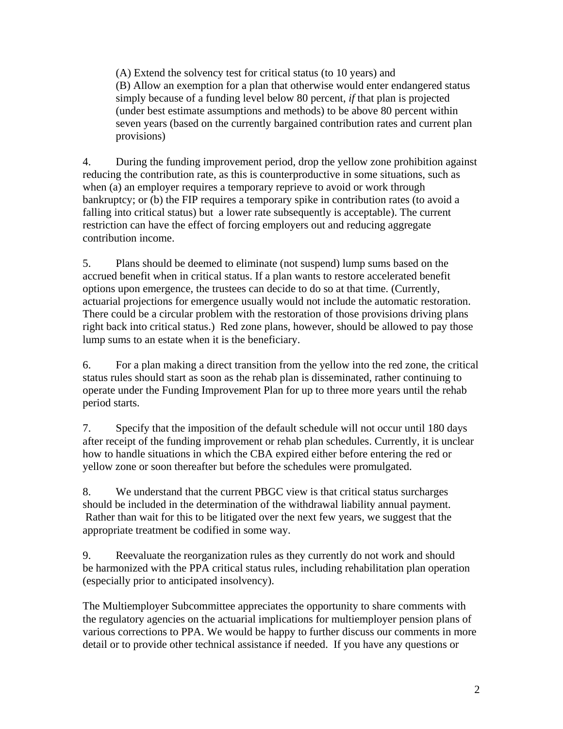(A) Extend the solvency test for critical status (to 10 years) and (B) Allow an exemption for a plan that otherwise would enter endangered status simply because of a funding level below 80 percent, *if* that plan is projected (under best estimate assumptions and methods) to be above 80 percent within seven years (based on the currently bargained contribution rates and current plan provisions)

4. During the funding improvement period, drop the yellow zone prohibition against reducing the contribution rate, as this is counterproductive in some situations, such as when (a) an employer requires a temporary reprieve to avoid or work through bankruptcy; or (b) the FIP requires a temporary spike in contribution rates (to avoid a falling into critical status) but a lower rate subsequently is acceptable). The current restriction can have the effect of forcing employers out and reducing aggregate contribution income.

5. Plans should be deemed to eliminate (not suspend) lump sums based on the accrued benefit when in critical status. If a plan wants to restore accelerated benefit options upon emergence, the trustees can decide to do so at that time. (Currently, actuarial projections for emergence usually would not include the automatic restoration. There could be a circular problem with the restoration of those provisions driving plans right back into critical status.) Red zone plans, however, should be allowed to pay those lump sums to an estate when it is the beneficiary.

6. For a plan making a direct transition from the yellow into the red zone, the critical status rules should start as soon as the rehab plan is disseminated, rather continuing to operate under the Funding Improvement Plan for up to three more years until the rehab period starts.

7. Specify that the imposition of the default schedule will not occur until 180 days after receipt of the funding improvement or rehab plan schedules. Currently, it is unclear how to handle situations in which the CBA expired either before entering the red or yellow zone or soon thereafter but before the schedules were promulgated.

8. We understand that the current PBGC view is that critical status surcharges should be included in the determination of the withdrawal liability annual payment. Rather than wait for this to be litigated over the next few years, we suggest that the appropriate treatment be codified in some way.

9. Reevaluate the reorganization rules as they currently do not work and should be harmonized with the PPA critical status rules, including rehabilitation plan operation (especially prior to anticipated insolvency).

The Multiemployer Subcommittee appreciates the opportunity to share comments with the regulatory agencies on the actuarial implications for multiemployer pension plans of various corrections to PPA. We would be happy to further discuss our comments in more detail or to provide other technical assistance if needed. If you have any questions or